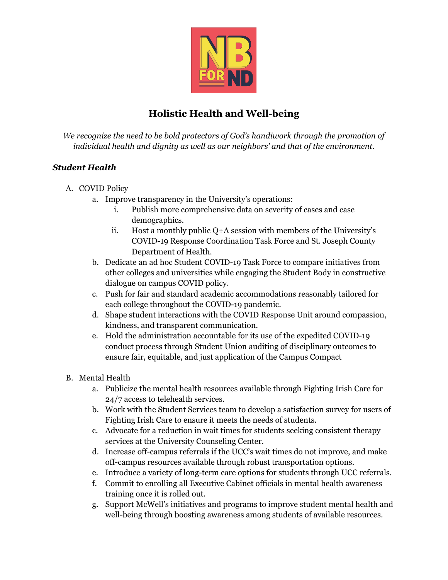

# **Holistic Health and Well-being**

*We recognize the need to be bold protectors of God's handiwork through the promotion of individual health and dignity as well as our neighbors' and that of the environment.*

### *Student Health*

- A. COVID Policy
	- a. Improve transparency in the University's operations:
		- i. Publish more comprehensive data on severity of cases and case demographics.
		- ii. Host a monthly public Q+A session with members of the University's COVID-19 Response Coordination Task Force and St. Joseph County Department of Health.
	- b. Dedicate an ad hoc Student COVID-19 Task Force to compare initiatives from other colleges and universities while engaging the Student Body in constructive dialogue on campus COVID policy.
	- c. Push for fair and standard academic accommodations reasonably tailored for each college throughout the COVID-19 pandemic.
	- d. Shape student interactions with the COVID Response Unit around compassion, kindness, and transparent communication.
	- e. Hold the administration accountable for its use of the expedited COVID-19 conduct process through Student Union auditing of disciplinary outcomes to ensure fair, equitable, and just application of the Campus Compact

### B. Mental Health

- a. Publicize the mental health resources available through Fighting Irish Care for 24/7 access to telehealth services.
- b. Work with the Student Services team to develop a satisfaction survey for users of Fighting Irish Care to ensure it meets the needs of students.
- c. Advocate for a reduction in wait times for students seeking consistent therapy services at the University Counseling Center.
- d. Increase off-campus referrals if the UCC's wait times do not improve, and make off-campus resources available through robust transportation options.
- e. Introduce a variety of long-term care options for students through UCC referrals.
- f. Commit to enrolling all Executive Cabinet officials in mental health awareness training once it is rolled out.
- g. Support McWell's initiatives and programs to improve student mental health and well-being through boosting awareness among students of available resources.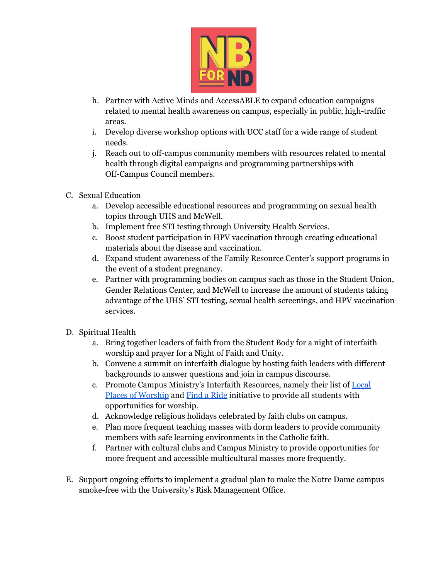

- h. Partner with Active Minds and AccessABLE to expand education campaigns related to mental health awareness on campus, especially in public, high-traffic areas.
- i. Develop diverse workshop options with UCC staff for a wide range of student needs.
- j. Reach out to off-campus community members with resources related to mental health through digital campaigns and programming partnerships with Off-Campus Council members.
- C. Sexual Education
	- a. Develop accessible educational resources and programming on sexual health topics through UHS and McWell.
	- b. Implement free STI testing through University Health Services.
	- c. Boost student participation in HPV vaccination through creating educational materials about the disease and vaccination.
	- d. Expand student awareness of the Family Resource Center's support programs in the event of a student pregnancy.
	- e. Partner with programming bodies on campus such as those in the Student Union, Gender Relations Center, and McWell to increase the amount of students taking advantage of the UHS' STI testing, sexual health screenings, and HPV vaccination services.
- D. Spiritual Health
	- a. Bring together leaders of faith from the Student Body for a night of interfaith worship and prayer for a Night of Faith and Unity.
	- b. Convene a summit on interfaith dialogue by hosting faith leaders with different backgrounds to answer questions and join in campus discourse.
	- c. Promote Campus Ministry's Interfaith Resources, namely their list of [Local](https://campusministry.nd.edu/mass-worship/interfaith-resources/local-places-of-worship/) Places of [Worship](https://campusministry.nd.edu/mass-worship/interfaith-resources/local-places-of-worship/) and Find a [Ride](https://campusministry.nd.edu/mass-worship/interfaith-resources/find-a-ride/) initiative to provide all students with opportunities for worship.
	- d. Acknowledge religious holidays celebrated by faith clubs on campus.
	- e. Plan more frequent teaching masses with dorm leaders to provide community members with safe learning environments in the Catholic faith.
	- f. Partner with cultural clubs and Campus Ministry to provide opportunities for more frequent and accessible multicultural masses more frequently.
- E. Support ongoing efforts to implement a gradual plan to make the Notre Dame campus smoke-free with the University's Risk Management Office.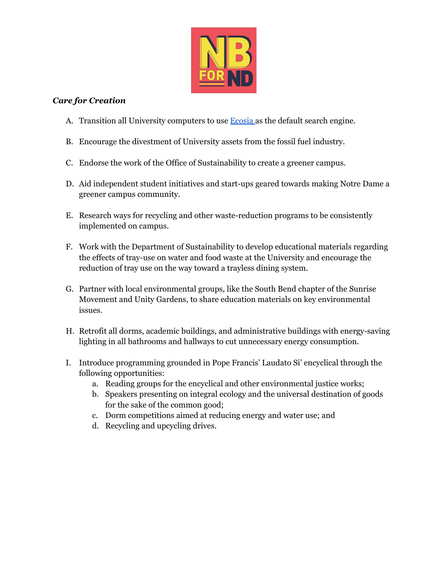

#### *Care for Creation*

- A. Transition all University computers to use **[Ecosia](http://ecosia.co/nd)** as the default search engine.
- B. Encourage the divestment of University assets from the fossil fuel industry.
- C. Endorse the work of the Office of Sustainability to create a greener campus.
- D. Aid independent student initiatives and start-ups geared towards making Notre Dame a greener campus community.
- E. Research ways for recycling and other waste-reduction programs to be consistently implemented on campus.
- F. Work with the Department of Sustainability to develop educational materials regarding the effects of tray-use on water and food waste at the University and encourage the reduction of tray use on the way toward a trayless dining system.
- G. Partner with local environmental groups, like the South Bend chapter of the Sunrise Movement and Unity Gardens, to share education materials on key environmental issues.
- H. Retrofit all dorms, academic buildings, and administrative buildings with energy-saving lighting in all bathrooms and hallways to cut unnecessary energy consumption.
- I. Introduce programming grounded in Pope Francis' Laudato Si' encyclical through the following opportunities:
	- a. Reading groups for the encyclical and other environmental justice works;
	- b. Speakers presenting on integral ecology and the universal destination of goods for the sake of the common good;
	- c. Dorm competitions aimed at reducing energy and water use; and
	- d. Recycling and upcycling drives.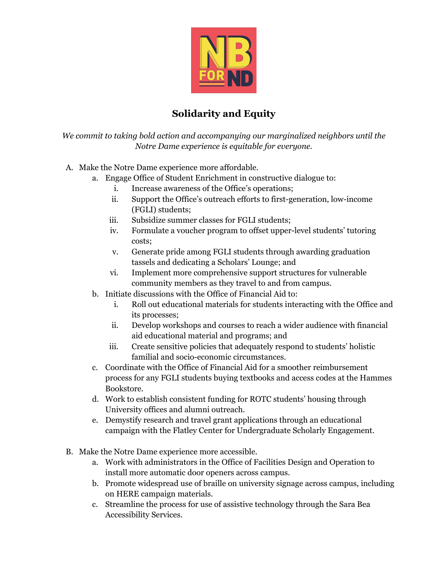

## **Solidarity and Equity**

*We commit to taking bold action and accompanying our marginalized neighbors until the Notre Dame experience is equitable for everyone.*

- A. Make the Notre Dame experience more affordable.
	- a. Engage Office of Student Enrichment in constructive dialogue to:
		- i. Increase awareness of the Office's operations;
		- ii. Support the Office's outreach efforts to first-generation, low-income (FGLI) students;
		- iii. Subsidize summer classes for FGLI students;
		- iv. Formulate a voucher program to offset upper-level students' tutoring costs;
		- v. Generate pride among FGLI students through awarding graduation tassels and dedicating a Scholars' Lounge; and
		- vi. Implement more comprehensive support structures for vulnerable community members as they travel to and from campus.
	- b. Initiate discussions with the Office of Financial Aid to:
		- i. Roll out educational materials for students interacting with the Office and its processes;
		- ii. Develop workshops and courses to reach a wider audience with financial aid educational material and programs; and
		- iii. Create sensitive policies that adequately respond to students' holistic familial and socio-economic circumstances.
	- c. Coordinate with the Office of Financial Aid for a smoother reimbursement process for any FGLI students buying textbooks and access codes at the Hammes Bookstore.
	- d. Work to establish consistent funding for ROTC students' housing through University offices and alumni outreach.
	- e. Demystify research and travel grant applications through an educational campaign with the Flatley Center for Undergraduate Scholarly Engagement.
- B. Make the Notre Dame experience more accessible.
	- a. Work with administrators in the Office of Facilities Design and Operation to install more automatic door openers across campus.
	- b. Promote widespread use of braille on university signage across campus, including on HERE campaign materials.
	- c. Streamline the process for use of assistive technology through the Sara Bea Accessibility Services.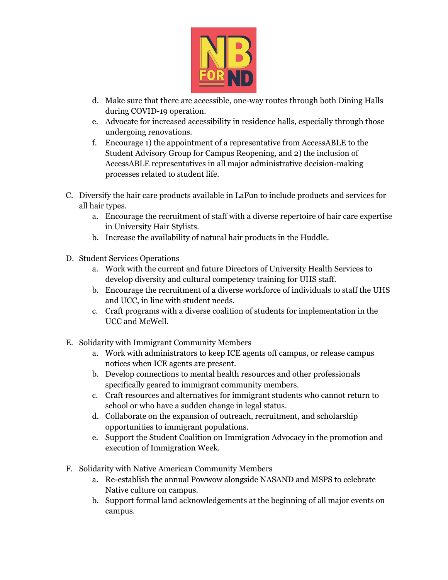

- d. Make sure that there are accessible, one-way routes through both Dining Halls during COVID-19 operation.
- e. Advocate for increased accessibility in residence halls, especially through those undergoing renovations.
- f. Encourage 1) the appointment of a representative from AccessABLE to the Student Advisory Group for Campus Reopening, and 2) the inclusion of AccessABLE representatives in all major administrative decision-making processes related to student life.
- C. Diversify the hair care products available in LaFun to include products and services for all hair types.
	- a. Encourage the recruitment of staff with a diverse repertoire of hair care expertise in University Hair Stylists.
	- b. Increase the availability of natural hair products in the Huddle.
- D. Student Services Operations
	- a. Work with the current and future Directors of University Health Services to develop diversity and cultural competency training for UHS staff.
	- b. Encourage the recruitment of a diverse workforce of individuals to staff the UHS and UCC, in line with student needs.
	- c. Craft programs with a diverse coalition of students for implementation in the UCC and McWell.
- E. Solidarity with Immigrant Community Members
	- a. Work with administrators to keep ICE agents off campus, or release campus notices when ICE agents are present.
	- b. Develop connections to mental health resources and other professionals specifically geared to immigrant community members.
	- c. Craft resources and alternatives for immigrant students who cannot return to school or who have a sudden change in legal status.
	- d. Collaborate on the expansion of outreach, recruitment, and scholarship opportunities to immigrant populations.
	- e. Support the Student Coalition on Immigration Advocacy in the promotion and execution of Immigration Week.
- F. Solidarity with Native American Community Members
	- a. Re-establish the annual Powwow alongside NASAND and MSPS to celebrate Native culture on campus.
	- b. Support formal land acknowledgements at the beginning of all major events on campus.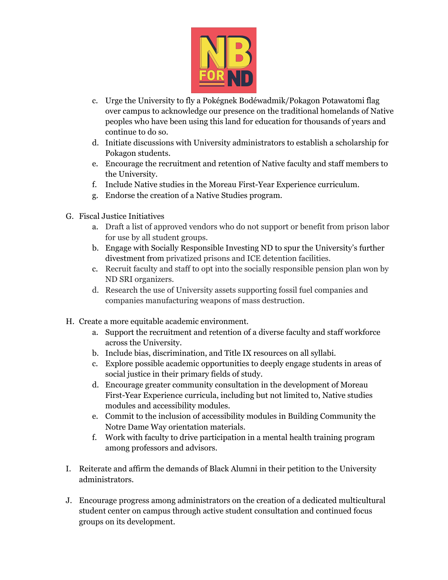

- c. Urge the University to fly a Pokégnek Bodéwadmik/Pokagon Potawatomi flag over campus to acknowledge our presence on the traditional homelands of Native peoples who have been using this land for education for thousands of years and continue to do so.
- d. Initiate discussions with University administrators to establish a scholarship for Pokagon students.
- e. Encourage the recruitment and retention of Native faculty and staff members to the University.
- f. Include Native studies in the Moreau First-Year Experience curriculum.
- g. Endorse the creation of a Native Studies program.
- G. Fiscal Justice Initiatives
	- a. Draft a list of approved vendors who do not support or benefit from prison labor for use by all student groups.
	- b. Engage with Socially Responsible Investing ND to spur the University's further divestment from privatized prisons and ICE detention facilities.
	- c. Recruit faculty and staff to opt into the socially responsible pension plan won by ND SRI organizers.
	- d. Research the use of University assets supporting fossil fuel companies and companies manufacturing weapons of mass destruction.
- H. Create a more equitable academic environment.
	- a. Support the recruitment and retention of a diverse faculty and staff workforce across the University.
	- b. Include bias, discrimination, and Title IX resources on all syllabi.
	- c. Explore possible academic opportunities to deeply engage students in areas of social justice in their primary fields of study.
	- d. Encourage greater community consultation in the development of Moreau First-Year Experience curricula, including but not limited to, Native studies modules and accessibility modules.
	- e. Commit to the inclusion of accessibility modules in Building Community the Notre Dame Way orientation materials.
	- f. Work with faculty to drive participation in a mental health training program among professors and advisors.
- I. Reiterate and affirm the demands of Black Alumni in their petition to the University administrators.
- J. Encourage progress among administrators on the creation of a dedicated multicultural student center on campus through active student consultation and continued focus groups on its development.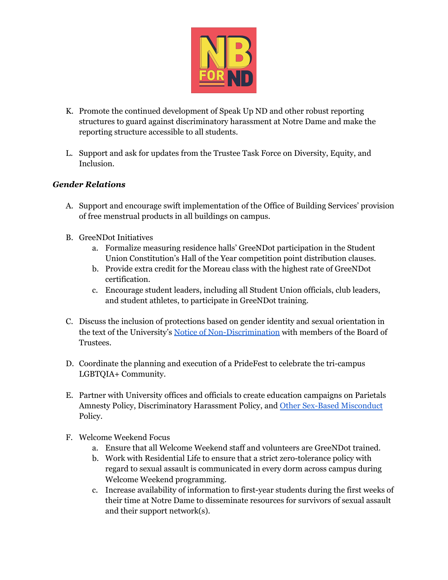

- K. Promote the continued development of Speak Up ND and other robust reporting structures to guard against discriminatory harassment at Notre Dame and make the reporting structure accessible to all students.
- L. Support and ask for updates from the Trustee Task Force on Diversity, Equity, and Inclusion.

#### *Gender Relations*

- A. Support and encourage swift implementation of the Office of Building Services' provision of free menstrual products in all buildings on campus.
- B. GreeNDot Initiatives
	- a. Formalize measuring residence halls' GreeNDot participation in the Student Union Constitution's Hall of the Year competition point distribution clauses.
	- b. Provide extra credit for the Moreau class with the highest rate of GreeNDot certification.
	- c. Encourage student leaders, including all Student Union officials, club leaders, and student athletes, to participate in GreeNDot training.
- C. Discuss the inclusion of protections based on gender identity and sexual orientation in the text of the University's Notice of [Non-Discrimination](https://dulac.nd.edu/university-mission-and-vision/non-discrimination/) with members of the Board of Trustees.
- D. Coordinate the planning and execution of a PrideFest to celebrate the tri-campus LGBTQIA+ Community.
- E. Partner with University offices and officials to create education campaigns on Parietals Amnesty Policy, Discriminatory Harassment Policy, and Other Sex-Based [Misconduct](https://equity.nd.edu/assets/398818/policy_on_discriminatory_harassment_sexual_harassment_and_other_sex_based_misconduct_final.pdf) Policy.
- F. Welcome Weekend Focus
	- a. Ensure that all Welcome Weekend staff and volunteers are GreeNDot trained.
	- b. Work with Residential Life to ensure that a strict zero-tolerance policy with regard to sexual assault is communicated in every dorm across campus during Welcome Weekend programming.
	- c. Increase availability of information to first-year students during the first weeks of their time at Notre Dame to disseminate resources for survivors of sexual assault and their support network(s).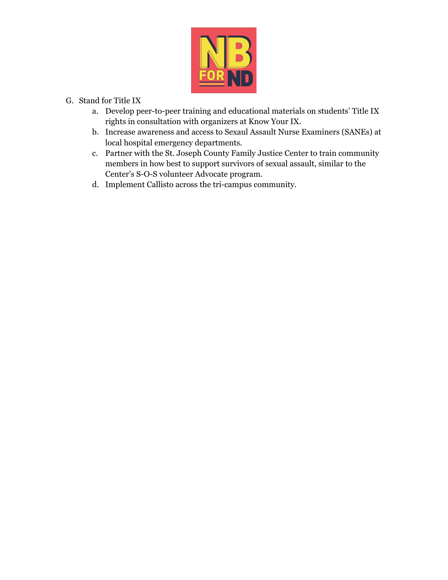

- G. Stand for Title IX
	- a. Develop peer-to-peer training and educational materials on students' Title IX rights in consultation with organizers at Know Your IX.
	- b. Increase awareness and access to Sexaul Assault Nurse Examiners (SANEs) at local hospital emergency departments.
	- c. Partner with the St. Joseph County Family Justice Center to train community members in how best to support survivors of sexual assault, similar to the Center's S-O-S volunteer Advocate program.
	- d. Implement Callisto across the tri-campus community.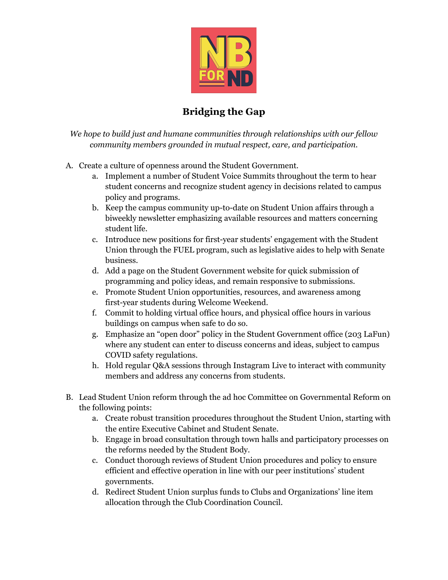

## **Bridging the Gap**

*We hope to build just and humane communities through relationships with our fellow community members grounded in mutual respect, care, and participation.*

- A. Create a culture of openness around the Student Government.
	- a. Implement a number of Student Voice Summits throughout the term to hear student concerns and recognize student agency in decisions related to campus policy and programs.
	- b. Keep the campus community up-to-date on Student Union affairs through a biweekly newsletter emphasizing available resources and matters concerning student life.
	- c. Introduce new positions for first-year students' engagement with the Student Union through the FUEL program, such as legislative aides to help with Senate business.
	- d. Add a page on the Student Government website for quick submission of programming and policy ideas, and remain responsive to submissions.
	- e. Promote Student Union opportunities, resources, and awareness among first-year students during Welcome Weekend.
	- f. Commit to holding virtual office hours, and physical office hours in various buildings on campus when safe to do so.
	- g. Emphasize an "open door" policy in the Student Government office (203 LaFun) where any student can enter to discuss concerns and ideas, subject to campus COVID safety regulations.
	- h. Hold regular Q&A sessions through Instagram Live to interact with community members and address any concerns from students.
- B. Lead Student Union reform through the ad hoc Committee on Governmental Reform on the following points:
	- a. Create robust transition procedures throughout the Student Union, starting with the entire Executive Cabinet and Student Senate.
	- b. Engage in broad consultation through town halls and participatory processes on the reforms needed by the Student Body.
	- c. Conduct thorough reviews of Student Union procedures and policy to ensure efficient and effective operation in line with our peer institutions' student governments.
	- d. Redirect Student Union surplus funds to Clubs and Organizations' line item allocation through the Club Coordination Council.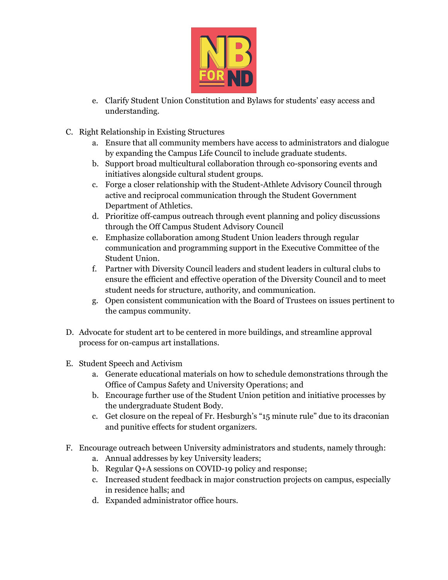

- e. Clarify Student Union Constitution and Bylaws for students' easy access and understanding.
- C. Right Relationship in Existing Structures
	- a. Ensure that all community members have access to administrators and dialogue by expanding the Campus Life Council to include graduate students.
	- b. Support broad multicultural collaboration through co-sponsoring events and initiatives alongside cultural student groups.
	- c. Forge a closer relationship with the Student-Athlete Advisory Council through active and reciprocal communication through the Student Government Department of Athletics.
	- d. Prioritize off-campus outreach through event planning and policy discussions through the Off Campus Student Advisory Council
	- e. Emphasize collaboration among Student Union leaders through regular communication and programming support in the Executive Committee of the Student Union.
	- f. Partner with Diversity Council leaders and student leaders in cultural clubs to ensure the efficient and effective operation of the Diversity Council and to meet student needs for structure, authority, and communication.
	- g. Open consistent communication with the Board of Trustees on issues pertinent to the campus community.
- D. Advocate for student art to be centered in more buildings, and streamline approval process for on-campus art installations.
- E. Student Speech and Activism
	- a. Generate educational materials on how to schedule demonstrations through the Office of Campus Safety and University Operations; and
	- b. Encourage further use of the Student Union petition and initiative processes by the undergraduate Student Body.
	- c. Get closure on the repeal of Fr. Hesburgh's "15 minute rule" due to its draconian and punitive effects for student organizers.
- F. Encourage outreach between University administrators and students, namely through:
	- a. Annual addresses by key University leaders;
	- b. Regular Q+A sessions on COVID-19 policy and response;
	- c. Increased student feedback in major construction projects on campus, especially in residence halls; and
	- d. Expanded administrator office hours.